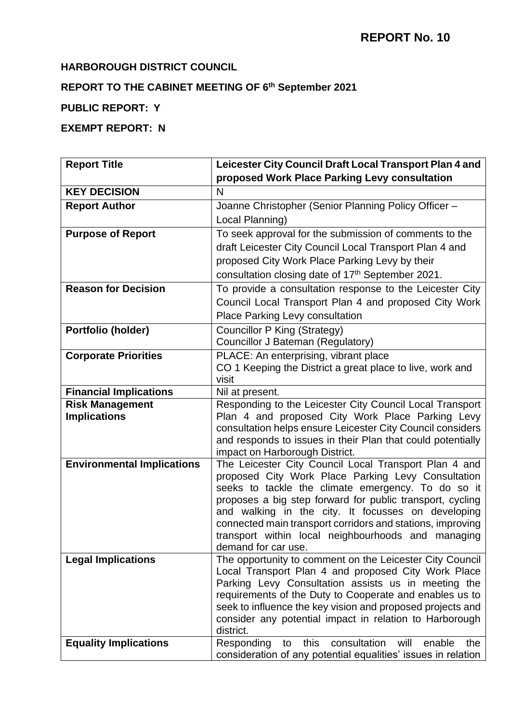## **HARBOROUGH DISTRICT COUNCIL**

### **REPORT TO THE CABINET MEETING OF 6 th September 2021**

# **PUBLIC REPORT: Y**

# **EXEMPT REPORT: N**

| <b>Report Title</b>               | Leicester City Council Draft Local Transport Plan 4 and                                                               |
|-----------------------------------|-----------------------------------------------------------------------------------------------------------------------|
|                                   | proposed Work Place Parking Levy consultation                                                                         |
| <b>KEY DECISION</b>               | N                                                                                                                     |
| <b>Report Author</b>              | Joanne Christopher (Senior Planning Policy Officer -                                                                  |
|                                   | Local Planning)                                                                                                       |
| <b>Purpose of Report</b>          | To seek approval for the submission of comments to the                                                                |
|                                   | draft Leicester City Council Local Transport Plan 4 and                                                               |
|                                   | proposed City Work Place Parking Levy by their                                                                        |
|                                   | consultation closing date of 17th September 2021.                                                                     |
| <b>Reason for Decision</b>        | To provide a consultation response to the Leicester City                                                              |
|                                   | Council Local Transport Plan 4 and proposed City Work                                                                 |
|                                   | Place Parking Levy consultation                                                                                       |
| Portfolio (holder)                | <b>Councillor P King (Strategy)</b>                                                                                   |
|                                   | Councillor J Bateman (Regulatory)                                                                                     |
| <b>Corporate Priorities</b>       | PLACE: An enterprising, vibrant place                                                                                 |
|                                   | CO 1 Keeping the District a great place to live, work and                                                             |
|                                   | visit                                                                                                                 |
| <b>Financial Implications</b>     | Nil at present.                                                                                                       |
| <b>Risk Management</b>            | Responding to the Leicester City Council Local Transport                                                              |
| <b>Implications</b>               | Plan 4 and proposed City Work Place Parking Levy<br>consultation helps ensure Leicester City Council considers        |
|                                   | and responds to issues in their Plan that could potentially                                                           |
|                                   | impact on Harborough District.                                                                                        |
| <b>Environmental Implications</b> | The Leicester City Council Local Transport Plan 4 and                                                                 |
|                                   | proposed City Work Place Parking Levy Consultation                                                                    |
|                                   | seeks to tackle the climate emergency. To do so it                                                                    |
|                                   | proposes a big step forward for public transport, cycling                                                             |
|                                   | and walking in the city. It focusses on developing<br>connected main transport corridors and stations, improving      |
|                                   | transport within local neighbourhoods and managing                                                                    |
|                                   | demand for car use.                                                                                                   |
| <b>Legal Implications</b>         | The opportunity to comment on the Leicester City Council                                                              |
|                                   | Local Transport Plan 4 and proposed City Work Place                                                                   |
|                                   | Parking Levy Consultation assists us in meeting the                                                                   |
|                                   | requirements of the Duty to Cooperate and enables us to                                                               |
|                                   | seek to influence the key vision and proposed projects and<br>consider any potential impact in relation to Harborough |
|                                   | district.                                                                                                             |
| <b>Equality Implications</b>      | Responding<br>consultation<br>this<br>enable<br>will<br>the<br>to                                                     |
|                                   | consideration of any potential equalities' issues in relation                                                         |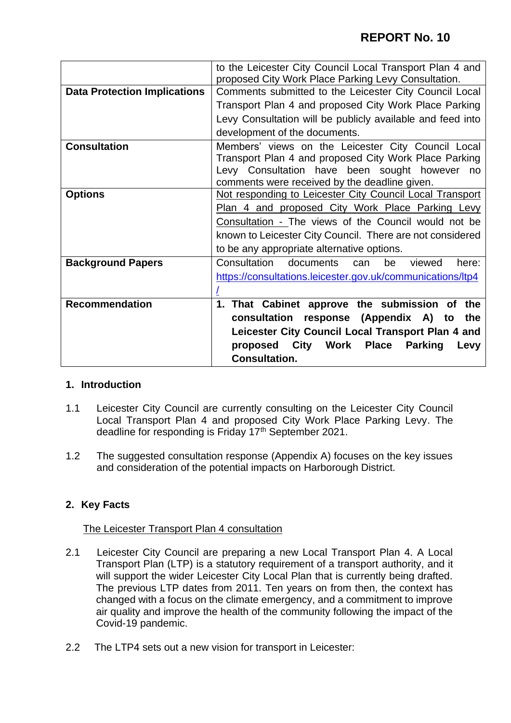|                                     | to the Leicester City Council Local Transport Plan 4 and<br>proposed City Work Place Parking Levy Consultation.                                                                                                  |
|-------------------------------------|------------------------------------------------------------------------------------------------------------------------------------------------------------------------------------------------------------------|
| <b>Data Protection Implications</b> | Comments submitted to the Leicester City Council Local                                                                                                                                                           |
|                                     | Transport Plan 4 and proposed City Work Place Parking                                                                                                                                                            |
|                                     | Levy Consultation will be publicly available and feed into                                                                                                                                                       |
|                                     | development of the documents.                                                                                                                                                                                    |
| <b>Consultation</b>                 | Members' views on the Leicester City Council Local<br>Transport Plan 4 and proposed City Work Place Parking<br>Levy Consultation have been sought however<br>no<br>comments were received by the deadline given. |
| <b>Options</b>                      | Not responding to Leicester City Council Local Transport                                                                                                                                                         |
|                                     | Plan 4 and proposed City Work Place Parking Levy                                                                                                                                                                 |
|                                     | Consultation - The views of the Council would not be                                                                                                                                                             |
|                                     | known to Leicester City Council. There are not considered                                                                                                                                                        |
|                                     | to be any appropriate alternative options.                                                                                                                                                                       |
| <b>Background Papers</b>            | Consultation<br>documents can<br>be<br>here:<br>viewed                                                                                                                                                           |
|                                     | https://consultations.leicester.gov.uk/communications/ltp4                                                                                                                                                       |
|                                     |                                                                                                                                                                                                                  |
| <b>Recommendation</b>               | 1. That Cabinet approve the submission of the                                                                                                                                                                    |
|                                     | consultation response (Appendix A) to<br>the                                                                                                                                                                     |
|                                     | Leicester City Council Local Transport Plan 4 and                                                                                                                                                                |
|                                     | City Work Place<br><b>Parking</b><br>proposed<br>Levy                                                                                                                                                            |
|                                     | <b>Consultation.</b>                                                                                                                                                                                             |

### **1. Introduction**

- 1.1 Leicester City Council are currently consulting on the Leicester City Council Local Transport Plan 4 and proposed City Work Place Parking Levy. The deadline for responding is Friday 17<sup>th</sup> September 2021.
- 1.2 The suggested consultation response (Appendix A) focuses on the key issues and consideration of the potential impacts on Harborough District.

### **2. Key Facts**

### The Leicester Transport Plan 4 consultation

- 2.1 Leicester City Council are preparing a new Local Transport Plan 4. A Local Transport Plan (LTP) is a statutory requirement of a transport authority, and it will support the wider Leicester City Local Plan that is currently being drafted. The previous LTP dates from 2011. Ten years on from then, the context has changed with a focus on the climate emergency, and a commitment to improve air quality and improve the health of the community following the impact of the Covid-19 pandemic.
- 2.2 The LTP4 sets out a new vision for transport in Leicester: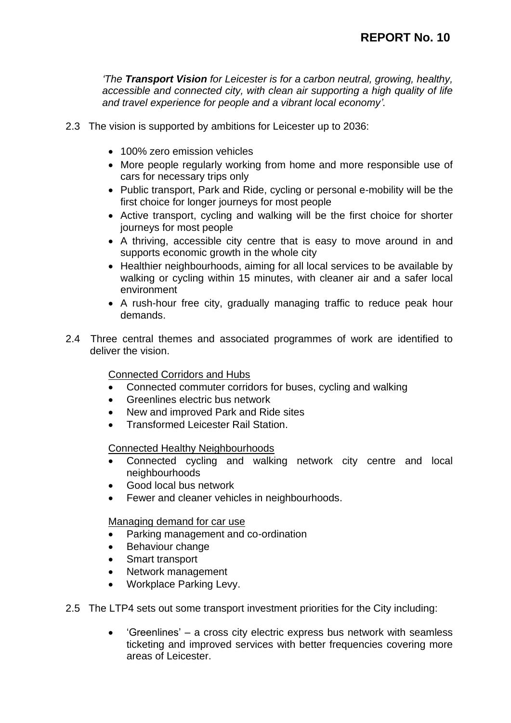*'The Transport Vision for Leicester is for a carbon neutral, growing, healthy, accessible and connected city, with clean air supporting a high quality of life and travel experience for people and a vibrant local economy'.*

- 2.3 The vision is supported by ambitions for Leicester up to 2036:
	- 100% zero emission vehicles
	- More people regularly working from home and more responsible use of cars for necessary trips only
	- Public transport, Park and Ride, cycling or personal e-mobility will be the first choice for longer journeys for most people
	- Active transport, cycling and walking will be the first choice for shorter journeys for most people
	- A thriving, accessible city centre that is easy to move around in and supports economic growth in the whole city
	- Healthier neighbourhoods, aiming for all local services to be available by walking or cycling within 15 minutes, with cleaner air and a safer local environment
	- A rush-hour free city, gradually managing traffic to reduce peak hour demands.
- 2.4 Three central themes and associated programmes of work are identified to deliver the vision.

Connected Corridors and Hubs

- Connected commuter corridors for buses, cycling and walking
- Greenlines electric bus network
- New and improved Park and Ride sites
- Transformed Leicester Rail Station.

### Connected Healthy Neighbourhoods

- Connected cycling and walking network city centre and local neighbourhoods
- Good local bus network
- Fewer and cleaner vehicles in neighbourhoods.

### Managing demand for car use

- Parking management and co-ordination
- Behaviour change
- Smart transport
- Network management
- Workplace Parking Levy.
- 2.5 The LTP4 sets out some transport investment priorities for the City including:
	- 'Greenlines' a cross city electric express bus network with seamless ticketing and improved services with better frequencies covering more areas of Leicester.